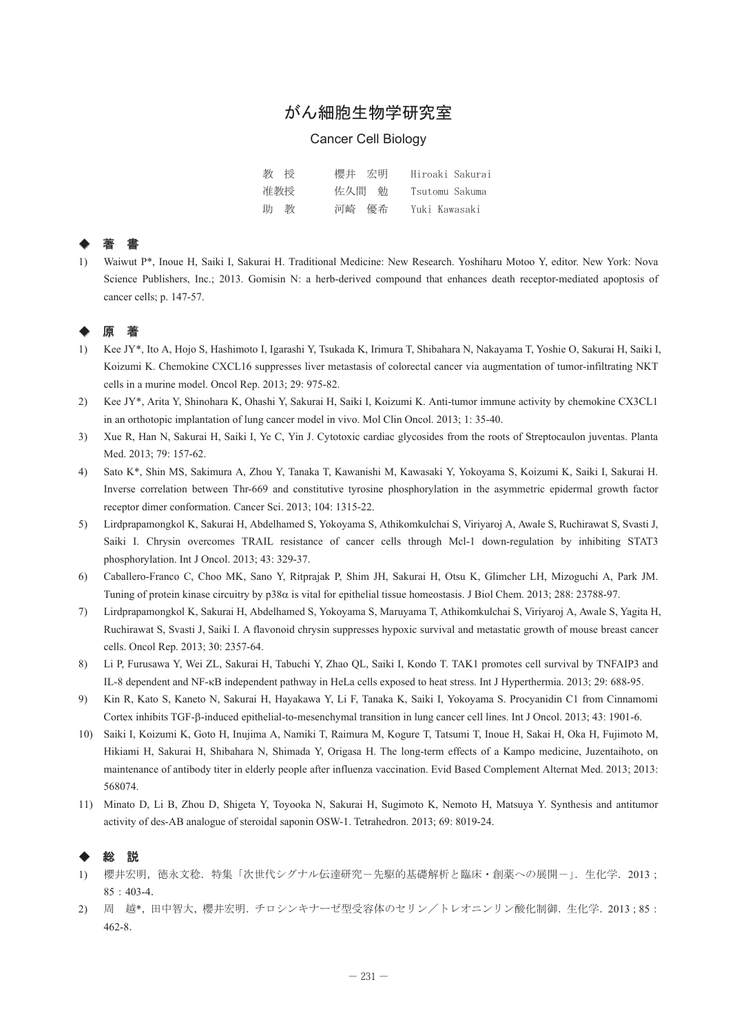# がん細胞生物学研究室

#### Cancer Cell Biology

| 教授  | 櫻井 宏明 | Hiroaki Sakurai |
|-----|-------|-----------------|
| 准教授 | 佐久間 勉 | Tsutomu Sakuma  |
| 助 教 | 河崎 優希 | Yuki Kawasaki   |

### ◆ 著 書

1) Waiwut P\*, Inoue H, Saiki I, Sakurai H. Traditional Medicine: New Research. Yoshiharu Motoo Y, editor. New York: Nova Science Publishers, Inc.; 2013. Gomisin N: a herb-derived compound that enhances death receptor-mediated apoptosis of cancer cells; p. 147-57.

# ◆ 原 著

- 1) Kee JY\*, Ito A, Hojo S, Hashimoto I, Igarashi Y, Tsukada K, Irimura T, Shibahara N, Nakayama T, Yoshie O, Sakurai H, Saiki I, Koizumi K. Chemokine CXCL16 suppresses liver metastasis of colorectal cancer via augmentation of tumor-infiltrating NKT cells in a murine model. Oncol Rep. 2013; 29: 975-82.
- 2) Kee JY\*, Arita Y, Shinohara K, Ohashi Y, Sakurai H, Saiki I, Koizumi K. Anti-tumor immune activity by chemokine CX3CL1 in an orthotopic implantation of lung cancer model in vivo. Mol Clin Oncol. 2013; 1: 35-40.
- 3) Xue R, Han N, Sakurai H, Saiki I, Ye C, Yin J. Cytotoxic cardiac glycosides from the roots of Streptocaulon juventas. Planta Med. 2013; 79: 157-62.
- 4) Sato K\*, Shin MS, Sakimura A, Zhou Y, Tanaka T, Kawanishi M, Kawasaki Y, Yokoyama S, Koizumi K, Saiki I, Sakurai H. Inverse correlation between Thr-669 and constitutive tyrosine phosphorylation in the asymmetric epidermal growth factor receptor dimer conformation. Cancer Sci. 2013; 104: 1315-22.
- 5) Lirdprapamongkol K, Sakurai H, Abdelhamed S, Yokoyama S, Athikomkulchai S, Viriyaroj A, Awale S, Ruchirawat S, Svasti J, Saiki I. Chrysin overcomes TRAIL resistance of cancer cells through Mcl-1 down-regulation by inhibiting STAT3 phosphorylation. Int J Oncol. 2013; 43: 329-37.
- 6) Caballero-Franco C, Choo MK, Sano Y, Ritprajak P, Shim JH, Sakurai H, Otsu K, Glimcher LH, Mizoguchi A, Park JM. Tuning of protein kinase circuitry by p38 $\alpha$  is vital for epithelial tissue homeostasis. J Biol Chem. 2013; 288: 23788-97.
- 7) Lirdprapamongkol K, Sakurai H, Abdelhamed S, Yokoyama S, Maruyama T, Athikomkulchai S, Viriyaroj A, Awale S, Yagita H, Ruchirawat S, Svasti J, Saiki I. A flavonoid chrysin suppresses hypoxic survival and metastatic growth of mouse breast cancer cells. Oncol Rep. 2013; 30: 2357-64.
- 8) Li P, Furusawa Y, Wei ZL, Sakurai H, Tabuchi Y, Zhao QL, Saiki I, Kondo T. TAK1 promotes cell survival by TNFAIP3 and IL-8 dependent and NF-B independent pathway in HeLa cells exposed to heat stress. Int J Hyperthermia. 2013; 29: 688-95.
- 9) Kin R, Kato S, Kaneto N, Sakurai H, Hayakawa Y, Li F, Tanaka K, Saiki I, Yokoyama S. Procyanidin C1 from Cinnamomi Cortex inhibits TGF-B-induced epithelial-to-mesenchymal transition in lung cancer cell lines. Int J Oncol. 2013; 43: 1901-6.
- 10) Saiki I, Koizumi K, Goto H, Inujima A, Namiki T, Raimura M, Kogure T, Tatsumi T, Inoue H, Sakai H, Oka H, Fujimoto M, Hikiami H, Sakurai H, Shibahara N, Shimada Y, Origasa H. The long-term effects of a Kampo medicine, Juzentaihoto, on maintenance of antibody titer in elderly people after influenza vaccination. Evid Based Complement Alternat Med. 2013; 2013: 568074.
- 11) Minato D, Li B, Zhou D, Shigeta Y, Toyooka N, Sakurai H, Sugimoto K, Nemoto H, Matsuya Y. Synthesis and antitumor activity of des-AB analogue of steroidal saponin OSW-1. Tetrahedron. 2013; 69: 8019-24.

#### ◆ 総 説

- 1) 櫻井宏明,徳永文稔.特集「次世代シグナル伝達研究-先駆的基礎解析と臨床·創薬への展開-」. 生化学. 2013;  $85:403-4.$
- 2) 周 越\*,田中智大,櫻井宏明. チロシンキナーゼ型受容体のセリン/トレオニンリン酸化制御. 生化学. 2013;85: 462-8.